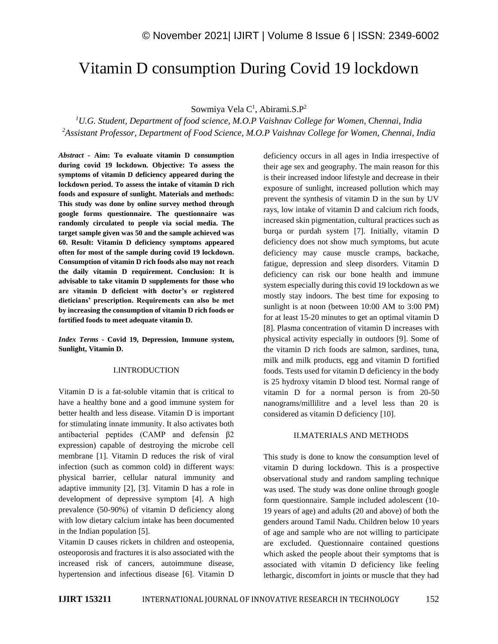# Vitamin D consumption During Covid 19 lockdown

Sowmiya Vela C<sup>1</sup>, Abirami.S.P<sup>2</sup>

*<sup>1</sup>U.G. Student, Department of food science, M.O.P Vaishnav College for Women, Chennai, India <sup>2</sup>Assistant Professor, Department of Food Science, M.O.P Vaishnav College for Women, Chennai, India*

*Abstract -* **Aim: To evaluate vitamin D consumption during covid 19 lockdown. Objective: To assess the symptoms of vitamin D deficiency appeared during the lockdown period. To assess the intake of vitamin D rich foods and exposure of sunlight. Materials and methods: This study was done by online survey method through google forms questionnaire. The questionnaire was randomly circulated to people via social media. The target sample given was 50 and the sample achieved was 60. Result: Vitamin D deficiency symptoms appeared often for most of the sample during covid 19 lockdown. Consumption of vitamin D rich foods also may not reach the daily vitamin D requirement. Conclusion: It is advisable to take vitamin D supplements for those who are vitamin D deficient with doctor's or registered dieticians' prescription. Requirements can also be met by increasing the consumption of vitamin D rich foods or fortified foods to meet adequate vitamin D.**

*Index Terms -* **Covid 19, Depression, Immune system, Sunlight, Vitamin D.**

#### I.INTRODUCTION

Vitamin D is a fat-soluble vitamin that is critical to have a healthy bone and a good immune system for better health and less disease. Vitamin D is important for stimulating innate immunity. It also activates both antibacterial peptides (CAMP and defensin β2 expression) capable of destroying the microbe cell membrane [1]. Vitamin D reduces the risk of viral infection (such as common cold) in different ways: physical barrier, cellular natural immunity and adaptive immunity [2], [3]. Vitamin D has a role in development of depressive symptom [4]. A high prevalence (50-90%) of vitamin D deficiency along with low dietary calcium intake has been documented in the Indian population [5].

Vitamin D causes rickets in children and osteopenia, osteoporosis and fractures it is also associated with the increased risk of cancers, autoimmune disease, hypertension and infectious disease [6]. Vitamin D deficiency occurs in all ages in India irrespective of their age sex and geography. The main reason for this is their increased indoor lifestyle and decrease in their exposure of sunlight, increased pollution which may prevent the synthesis of vitamin D in the sun by UV rays, low intake of vitamin D and calcium rich foods, increased skin pigmentation, cultural practices such as burqa or purdah system [7]. Initially, vitamin D deficiency does not show much symptoms, but acute deficiency may cause muscle cramps, backache, fatigue, depression and sleep disorders. Vitamin D deficiency can risk our bone health and immune system especially during this covid 19 lockdown as we mostly stay indoors. The best time for exposing to sunlight is at noon (between  $10:00$  AM to  $3:00$  PM) for at least 15-20 minutes to get an optimal vitamin D [8]. Plasma concentration of vitamin D increases with physical activity especially in outdoors [9]. Some of the vitamin D rich foods are salmon, sardines, tuna, milk and milk products, egg and vitamin D fortified foods. Tests used for vitamin D deficiency in the body is 25 hydroxy vitamin D blood test. Normal range of vitamin D for a normal person is from 20-50 nanograms/millilitre and a level less than 20 is considered as vitamin D deficiency [10].

### II.MATERIALS AND METHODS

This study is done to know the consumption level of vitamin D during lockdown. This is a prospective observational study and random sampling technique was used. The study was done online through google form questionnaire. Sample included adolescent (10- 19 years of age) and adults (20 and above) of both the genders around Tamil Nadu. Children below 10 years of age and sample who are not willing to participate are excluded. Questionnaire contained questions which asked the people about their symptoms that is associated with vitamin D deficiency like feeling lethargic, discomfort in joints or muscle that they had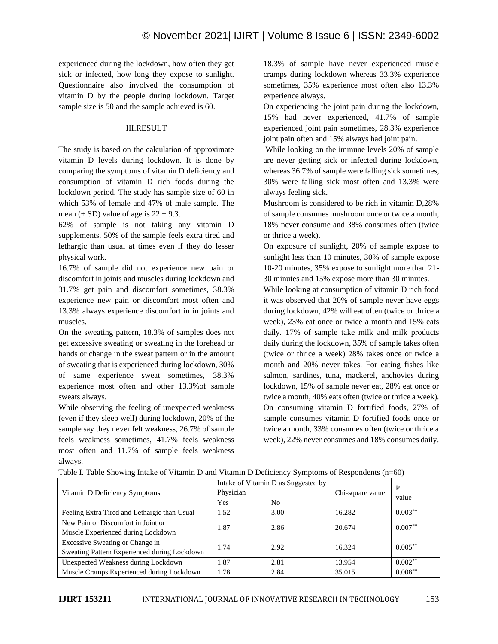experienced during the lockdown, how often they get sick or infected, how long they expose to sunlight. Questionnaire also involved the consumption of vitamin D by the people during lockdown. Target sample size is 50 and the sample achieved is 60.

## III.RESULT

The study is based on the calculation of approximate vitamin D levels during lockdown. It is done by comparing the symptoms of vitamin D deficiency and consumption of vitamin D rich foods during the lockdown period. The study has sample size of 60 in which 53% of female and 47% of male sample. The mean  $(\pm SD)$  value of age is  $22 \pm 9.3$ .

62% of sample is not taking any vitamin D supplements. 50% of the sample feels extra tired and lethargic than usual at times even if they do lesser physical work.

16.7% of sample did not experience new pain or discomfort in joints and muscles during lockdown and 31.7% get pain and discomfort sometimes, 38.3% experience new pain or discomfort most often and 13.3% always experience discomfort in in joints and muscles.

On the sweating pattern, 18.3% of samples does not get excessive sweating or sweating in the forehead or hands or change in the sweat pattern or in the amount of sweating that is experienced during lockdown, 30% of same experience sweat sometimes, 38.3% experience most often and other 13.3%of sample sweats always.

While observing the feeling of unexpected weakness (even if they sleep well) during lockdown, 20% of the sample say they never felt weakness, 26.7% of sample feels weakness sometimes, 41.7% feels weakness most often and 11.7% of sample feels weakness always.

18.3% of sample have never experienced muscle cramps during lockdown whereas 33.3% experience sometimes, 35% experience most often also 13.3% experience always.

On experiencing the joint pain during the lockdown, 15% had never experienced, 41.7% of sample experienced joint pain sometimes, 28.3% experience joint pain often and 15% always had joint pain.

While looking on the immune levels 20% of sample are never getting sick or infected during lockdown, whereas 36.7% of sample were falling sick sometimes, 30% were falling sick most often and 13.3% were always feeling sick.

Mushroom is considered to be rich in vitamin D,28% of sample consumes mushroom once or twice a month, 18% never consume and 38% consumes often (twice or thrice a week).

On exposure of sunlight, 20% of sample expose to sunlight less than 10 minutes, 30% of sample expose 10-20 minutes, 35% expose to sunlight more than 21- 30 minutes and 15% expose more than 30 minutes.

While looking at consumption of vitamin D rich food it was observed that 20% of sample never have eggs during lockdown, 42% will eat often (twice or thrice a week), 23% eat once or twice a month and 15% eats daily. 17% of sample take milk and milk products daily during the lockdown, 35% of sample takes often (twice or thrice a week) 28% takes once or twice a month and 20% never takes. For eating fishes like salmon, sardines, tuna, mackerel, anchovies during lockdown, 15% of sample never eat, 28% eat once or twice a month, 40% eats often (twice or thrice a week). On consuming vitamin D fortified foods, 27% of sample consumes vitamin D fortified foods once or twice a month, 33% consumes often (twice or thrice a week), 22% never consumes and 18% consumes daily.

| Vitamin D Deficiency Symptoms                | Intake of Vitamin D as Suggested by<br>Physician |                | Chi-square value | P<br>value |
|----------------------------------------------|--------------------------------------------------|----------------|------------------|------------|
|                                              | Yes                                              | N <sub>0</sub> |                  |            |
| Feeling Extra Tired and Lethargic than Usual | 1.52                                             | 3.00           | 16.282           | $0.003***$ |
| New Pain or Discomfort in Joint or           | 1.87                                             | 2.86           | 20.674           | $0.007***$ |
| Muscle Experienced during Lockdown           |                                                  |                |                  |            |
| Excessive Sweating or Change in              | 1.74                                             | 2.92           | 16.324           | $0.005***$ |
| Sweating Pattern Experienced during Lockdown |                                                  |                |                  |            |
| Unexpected Weakness during Lockdown          | 1.87                                             | 2.81           | 13.954           | $0.002***$ |
| Muscle Cramps Experienced during Lockdown    | 1.78                                             | 2.84           | 35.015           | $0.008***$ |

Table I. Table Showing Intake of Vitamin D and Vitamin D Deficiency Symptoms of Respondents (n=60)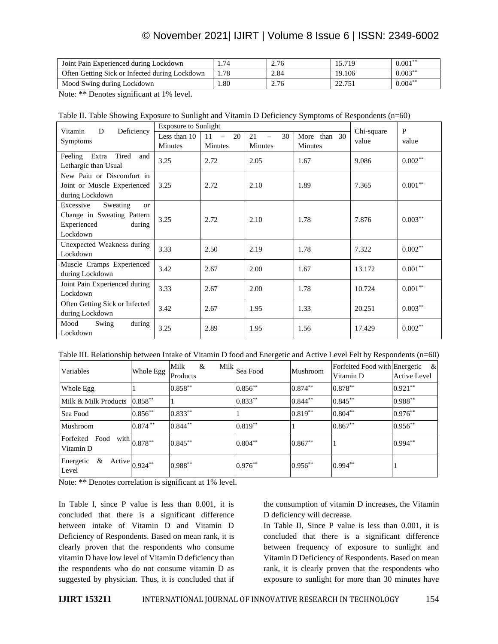# © November 2021| IJIRT | Volume 8 Issue 6 | ISSN: 2349-6002

| Joint Pain Experienced during Lockdown         | . 74 | 2.76 | 15.719              | $0.001**$  |
|------------------------------------------------|------|------|---------------------|------------|
| Often Getting Sick or Infected during Lockdown | . 78 | 2.84 | 19.106              | $0.003***$ |
| Mood Swing during Lockdown                     | .80  | 2.76 | 22.751<br>44. I J J | $0.004***$ |

Note: \*\* Denotes significant at 1% level.

|  | Table II. Table Showing Exposure to Sunlight and Vitamin D Deficiency Symptoms of Respondents (n=60) |
|--|------------------------------------------------------------------------------------------------------|
|  |                                                                                                      |

| Deficiency<br>Vitamin<br>D                               | <b>Exposure to Sunlight</b> |                      |                |              |                     | P          |
|----------------------------------------------------------|-----------------------------|----------------------|----------------|--------------|---------------------|------------|
|                                                          | Less than 10                | 20<br>11<br>$\equiv$ | 21<br>30       | More than 30 | Chi-square<br>value | value      |
| <b>Symptoms</b>                                          | Minutes                     | Minutes              | <b>Minutes</b> | Minutes      |                     |            |
| Tired<br>Extra<br>Feeling<br>and<br>Lethargic than Usual | 3.25                        | 2.72                 | 2.05           | 1.67         | 9.086               | $0.002**$  |
| New Pain or Discomfort in                                |                             |                      |                |              |                     |            |
|                                                          |                             |                      |                | 1.89         |                     | $0.001**$  |
| Joint or Muscle Experienced                              | 3.25                        | 2.72                 | 2.10           |              | 7.365               |            |
| during Lockdown                                          |                             |                      |                |              |                     |            |
| Excessive<br>Sweating<br>$\alpha$                        |                             |                      |                |              |                     |            |
| Change in Sweating Pattern                               | 3.25                        | 2.72                 | 2.10           | 1.78         | 7.876               | $0.003***$ |
| Experienced<br>during                                    |                             |                      |                |              |                     |            |
| Lockdown                                                 |                             |                      |                |              |                     |            |
| Unexpected Weakness during                               |                             | 2.50                 | 2.19           | 1.78         | 7.322               | $0.002**$  |
| Lockdown                                                 | 3.33                        |                      |                |              |                     |            |
| Muscle Cramps Experienced                                |                             |                      |                |              |                     |            |
| during Lockdown                                          | 3.42                        | 2.67                 | 2.00           | 1.67         | 13.172              | $0.001***$ |
| Joint Pain Experienced during                            | 3.33                        | 2.67                 | 2.00           | 1.78         | 10.724              | $0.001**$  |
| Lockdown                                                 |                             |                      |                |              |                     |            |
| Often Getting Sick or Infected                           |                             | 2.67                 | 1.95           | 1.33         | 20.251              | $0.003***$ |
| during Lockdown                                          | 3.42                        |                      |                |              |                     |            |
| Mood<br>Swing<br>during                                  | 3.25                        | 2.89                 | 1.95           | 1.56         | 17.429              | $0.002**$  |
| Lockdown                                                 |                             |                      |                |              |                     |            |

Table III. Relationship between Intake of Vitamin D food and Energetic and Active Level Felt by Respondents (n=60)

| Variables                                | Whole Egg                                           | Milk<br>Milk<br>&<br>Products | Sea Food   | Mushroom   | Forfeited Food with Energetic<br>Vitamin D | $\&$<br><b>Active Level</b> |
|------------------------------------------|-----------------------------------------------------|-------------------------------|------------|------------|--------------------------------------------|-----------------------------|
| Whole Egg                                |                                                     | $0.858***$                    | $0.856***$ | $0.874***$ | $0.878***$                                 | $0.921***$                  |
| Milk & Milk Products 0.858 <sup>**</sup> |                                                     |                               | $0.833**$  | $0.844**$  | $0.845***$                                 | $0.988**$                   |
| Sea Food                                 | $0.856***$                                          | $0.833**$                     |            | $0.819**$  | $0.804**$                                  | $0.976**$                   |
| Mushroom                                 | $0.874***$                                          | $0.844***$                    | $0.819**$  |            | $0.867**$                                  | $0.956***$                  |
| Forfeited<br>Food<br>Vitamin D           | $\left\vert \mathrm{with}\right\vert _{0.878^{**}}$ | $0.845***$                    | $0.804***$ | $0.867**$  |                                            | $0.994**$                   |
| Energetic<br>Active<br>&<br>Level        | $0.924**$                                           | $0.988**$                     | $0.976**$  | $0.956***$ | $0.994***$                                 |                             |

Note: \*\* Denotes correlation is significant at 1% level.

In Table I, since P value is less than 0.001, it is concluded that there is a significant difference between intake of Vitamin D and Vitamin D Deficiency of Respondents. Based on mean rank, it is clearly proven that the respondents who consume vitamin D have low level of Vitamin D deficiency than the respondents who do not consume vitamin D as suggested by physician. Thus, it is concluded that if the consumption of vitamin D increases, the Vitamin D deficiency will decrease.

In Table II, Since P value is less than 0.001, it is concluded that there is a significant difference between frequency of exposure to sunlight and Vitamin D Deficiency of Respondents. Based on mean rank, it is clearly proven that the respondents who exposure to sunlight for more than 30 minutes have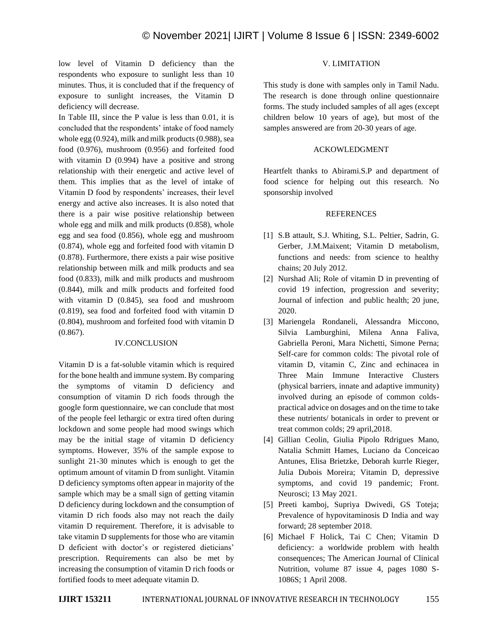low level of Vitamin D deficiency than the respondents who exposure to sunlight less than 10 minutes. Thus, it is concluded that if the frequency of exposure to sunlight increases, the Vitamin D deficiency will decrease.

In Table III, since the P value is less than 0.01, it is concluded that the respondents' intake of food namely whole egg (0.924), milk and milk products (0.988), sea food (0.976), mushroom (0.956) and forfeited food with vitamin D (0.994) have a positive and strong relationship with their energetic and active level of them. This implies that as the level of intake of Vitamin D food by respondents' increases, their level energy and active also increases. It is also noted that there is a pair wise positive relationship between whole egg and milk and milk products (0.858), whole egg and sea food (0.856), whole egg and mushroom (0.874), whole egg and forfeited food with vitamin D (0.878). Furthermore, there exists a pair wise positive relationship between milk and milk products and sea food (0.833), milk and milk products and mushroom (0.844), milk and milk products and forfeited food with vitamin D (0.845), sea food and mushroom (0.819), sea food and forfeited food with vitamin D (0.804), mushroom and forfeited food with vitamin D (0.867).

### IV.CONCLUSION

Vitamin D is a fat-soluble vitamin which is required for the bone health and immune system. By comparing the symptoms of vitamin D deficiency and consumption of vitamin D rich foods through the google form questionnaire, we can conclude that most of the people feel lethargic or extra tired often during lockdown and some people had mood swings which may be the initial stage of vitamin D deficiency symptoms. However, 35% of the sample expose to sunlight 21-30 minutes which is enough to get the optimum amount of vitamin D from sunlight. Vitamin D deficiency symptoms often appear in majority of the sample which may be a small sign of getting vitamin D deficiency during lockdown and the consumption of vitamin D rich foods also may not reach the daily vitamin D requirement. Therefore, it is advisable to take vitamin D supplements for those who are vitamin D deficient with doctor's or registered dieticians' prescription. Requirements can also be met by increasing the consumption of vitamin D rich foods or fortified foods to meet adequate vitamin D.

### V. LIMITATION

This study is done with samples only in Tamil Nadu. The research is done through online questionnaire forms. The study included samples of all ages (except children below 10 years of age), but most of the samples answered are from 20-30 years of age.

### ACKOWLEDGMENT

Heartfelt thanks to Abirami.S.P and department of food science for helping out this research. No sponsorship involved

### **REFERENCES**

- [1] S.B attault, S.J. Whiting, S.L. Peltier, Sadrin, G. Gerber, J.M.Maixent; Vitamin D metabolism, functions and needs: from science to healthy chains; 20 July 2012.
- [2] Nurshad Ali; Role of vitamin D in preventing of covid 19 infection, progression and severity; Journal of infection and public health; 20 june, 2020.
- [3] Mariengela Rondaneli, Alessandra Miccono, Silvia Lamburghini, Milena Anna Faliva, Gabriella Peroni, Mara Nichetti, Simone Perna; Self-care for common colds: The pivotal role of vitamin D, vitamin C, Zinc and echinacea in Three Main Immune Interactive Clusters (physical barriers, innate and adaptive immunity) involved during an episode of common coldspractical advice on dosages and on the time to take these nutrients/ botanicals in order to prevent or treat common colds; 29 april,2018.
- [4] Gillian Ceolin, Giulia Pipolo Rdrigues Mano, Natalia Schmitt Hames, Luciano da Conceicao Antunes, Elisa Brietzke, Deborah kurrle Rieger, Julia Dubois Moreira; Vitamin D, depressive symptoms, and covid 19 pandemic; Front. Neurosci; 13 May 2021.
- [5] Preeti kamboj, Supriya Dwivedi, GS Toteja; Prevalence of hypovitaminosis D India and way forward; 28 september 2018.
- [6] Michael F Holick, Tai C Chen; Vitamin D deficiency: a worldwide problem with health consequences; The American Journal of Clinical Nutrition, volume 87 issue 4, pages 1080 S-1086S; 1 April 2008.